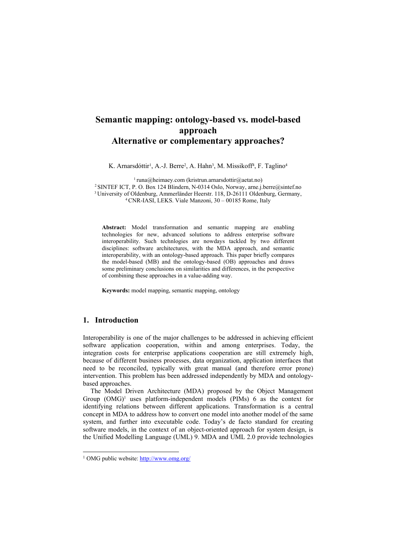# **Semantic mapping: ontology-based vs. model-based approach Alternative or complementary approaches?**

K. Arnarsdóttir<sup>1</sup>, A.-J. Berre<sup>2</sup>, A. Hahn<sup>3</sup>, M. Missikoff<sup>4</sup>, F. Taglino<sup>4</sup>

<sup>1</sup> runa@heimaey.com (kristrun.arnarsdottir@aetat.no)<br><sup>2</sup> SINTEF ICT, P. O. Box 124 Blindern, N-0314 Oslo, Norway, arne.j.berre@sintef.no<br><sup>3</sup> University of Oldenburg, Ammerländer Heerstr. 118, D-26111 Oldenburg, Germany,<br><sup></sup>

**Abstract:** Model transformation and semantic mapping are enabling technologies for new, advanced solutions to address enterprise software interoperability. Such technlogies are nowdays tackled by two different disciplines: software architectures, with the MDA approach, and semantic interoperability, with an ontology-based approach. This paper briefly compares the model-based (MB) and the ontology-based (OB) approaches and draws some preliminary conclusions on similarities and differences, in the perspective of combining these approaches in a value-adding way.

**Keywords:** model mapping, semantic mapping, ontology

## **1. Introduction**

l

Interoperability is one of the major challenges to be addressed in achieving efficient software application cooperation, within and among enterprises. Today, the integration costs for enterprise applications cooperation are still extremely high, because of different business processes, data organization, application interfaces that need to be reconciled, typically with great manual (and therefore error prone) intervention. This problem has been addressed independently by MDA and ontologybased approaches.

The Model Driven Architecture (MDA) proposed by the Object Management Group  $(OMG)^1$  uses platform-independent models  $(PIMs)$  [6](#page-5-0) as the context for identifying relations between different applications. Transformation is a central concept in MDA to address how to convert one model into another model of the same system, and further into executable code. Today's de facto standard for creating software models, in the context of an object-oriented approach for system design, is the Unified Modelling Language (UML) [9.](#page-5-1) MDA and UML 2.0 provide technologies

<span id="page-0-0"></span><sup>1</sup> OMG public website:<http://www.omg.org/>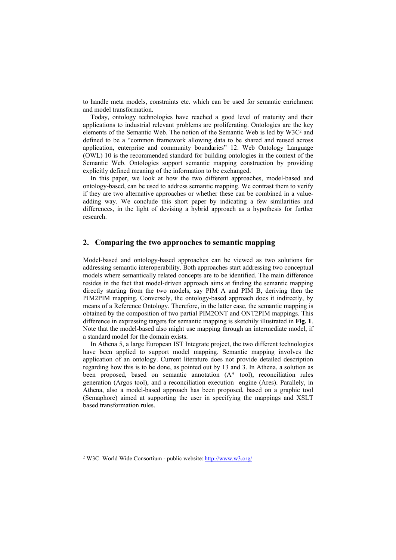to handle meta models, constraints etc. which can be used for semantic enrichment and model transformation.

Today, ontology technologies have reached a good level of maturity and their applications to industrial relevant problems are proliferating. Ontologies are the key elements of the Semantic Web. The notion of the Semantic Web is led by W3[C2](#page-1-0) and defined to be a "common framework allowing data to be shared and reused across application, enterprise and community boundaries" [12.](#page-5-2) Web Ontology Language (OWL) [10](#page-5-3) is the recommended standard for building ontologies in the context of the Semantic Web. Ontologies support semantic mapping construction by providing explicitly defined meaning of the information to be exchanged.

In this paper, we look at how the two different approaches, model-based and ontology-based, can be used to address semantic mapping. We contrast them to verify if they are two alternative approaches or whether these can be combined in a valueadding way. We conclude this short paper by indicating a few similarities and differences, in the light of devising a hybrid approach as a hypothesis for further research.

#### **2. Comparing the two approaches to semantic mapping**

Model-based and ontology-based approaches can be viewed as two solutions for addressing semantic interoperability. Both approaches start addressing two conceptual models where semantically related concepts are to be identified. The main difference resides in the fact that model-driven approach aims at finding the semantic mapping directly starting from the two models, say PIM A and PIM B, deriving then the PIM2PIM mapping. Conversely, the ontology-based approach does it indirectly, by means of a Reference Ontology. Therefore, in the latter case, the semantic mapping is obtained by the composition of two partial PIM2ONT and ONT2PIM mappings. This difference in expressing targets for semantic mapping is sketchily illustrated in **[Fig. 1](#page-2-0)**. Note that the model-based also might use mapping through an intermediate model, if a standard model for the domain exists.

In Athena [5,](#page-5-4) a large European IST Integrate project, the two different technologies have been applied to support model mapping. Semantic mapping involves the application of an ontology. Current literature does not provide detailed description regarding how this is to be done, as pointed out by [13 a](#page-5-5)nd [3.](#page-5-6) In Athena, a solution as been proposed, based on semantic annotation (A\* tool), reconciliation rules generation (Argos tool), and a reconciliation execution engine (Ares). Parallely, in Athena, also a model-based approach has been proposed, based on a graphic tool (Semaphore) aimed at supporting the user in specifying the mappings and XSLT based transformation rules.

l

<span id="page-1-0"></span><sup>2</sup> W3C: World Wide Consortium - public website: <http://www.w3.org/>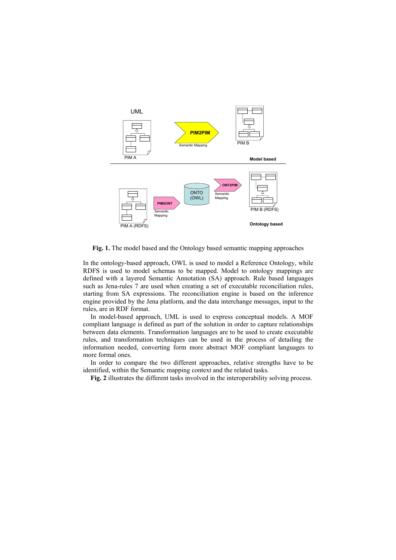

<span id="page-2-0"></span>**Fig. 1.** The model based and the Ontology based semantic mapping approaches

In the ontology-based approach, OWL is used to model a Reference Ontology, while RDFS is used to model schemas to be mapped. Model to ontology mappings are defined with a layered Semantic Annotation (SA) approach. Rule based languages such as Jena-rules [7](#page-5-7) are used when creating a set of executable reconciliation rules, starting from SA expressions. The reconciliation engine is based on the inference engine provided by the Jena platform, and the data interchange messages, input to the rules, are in RDF format.

In model-based approach, UML is used to express conceptual models. A MOF compliant language is defined as part of the solution in order to capture relationships between data elements. Transformation languages are to be used to create executable rules, and transformation techniques can be used in the process of detailing the information needed, converting form more abstract MOF compliant languages to more formal ones.

In order to compare the two different approaches, relative strengths have to be identified, within the Semantic mapping context and the related tasks.

**[Fig. 2](#page-3-0)** illustrates the different tasks involved in the interoperability solving process.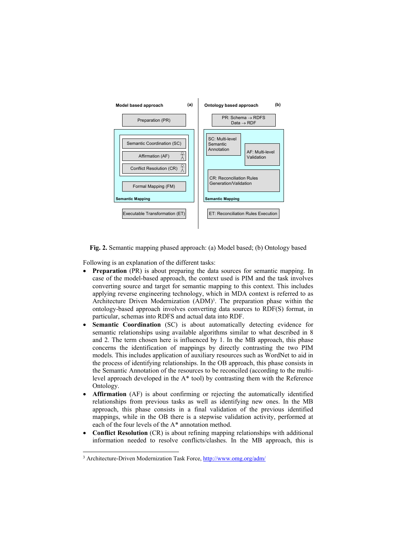<span id="page-3-0"></span>

<span id="page-3-2"></span>**Fig. 2.** Semantic mapping phased approach: (a) Model based; (b) Ontology based

Following is an explanation of the different tasks:

- **Preparation** (PR) is about preparing the data sources for semantic mapping. In case of the model-based approach, the context used is PIM and the task involves converting source and target for semantic mapping to this context. This includes applying reverse engineering technology, which in MDA context is referred to as Architecture Driven Modernization (ADM)<sup>3</sup>. The preparation phase within the ontology-based approach involves converting data sources to RDF(S) format, in particular, schemas into RDFS and actual data into RDF.
- **Semantic Coordination** (SC) is about automatically detecting evidence for semantic relationships using available algorithms similar to what described in [8](#page-5-8) and [2.](#page-5-9) The term chosen here is influenced by [1.](#page-5-10) In the MB approach, this phase concerns the identification of mappings by directly contrasting the two PIM models. This includes application of auxiliary resources such as WordNet to aid in the process of identifying relationships. In the OB approach, this phase consists in the Semantic Annotation of the resources to be reconciled (according to the multilevel approach developed in the A\* tool) by contrasting them with the Reference Ontology.
- **Affirmation** (AF) is about confirming or rejecting the automatically identified relationships from previous tasks as well as identifying new ones. In the MB approach, this phase consists in a final validation of the previous identified mappings, while in the OB there is a stepwise validation activity, performed at each of the four levels of the A\* annotation method.
- **Conflict Resolution** (CR) is about refining mapping relationships with additional information needed to resolve conflicts/clashes. In the MB approach, this is

<span id="page-3-1"></span> <sup>3</sup> Architecture-Driven Modernization Task Force, <http://www.omg.org/adm/>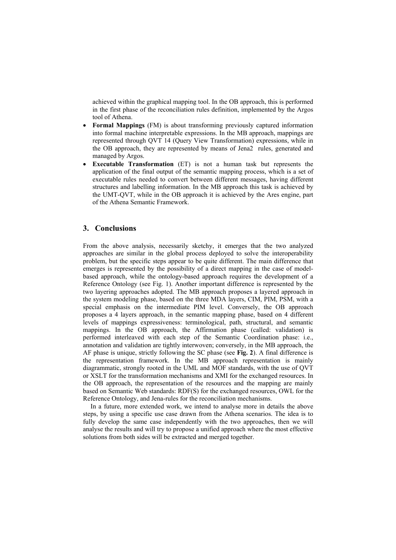achieved within the graphical mapping tool. In the OB approach, this is performed in the first phase of the reconciliation rules definition, implemented by the Argos tool of Athena.

- **Formal Mappings** (FM) is about transforming previously captured information into formal machine interpretable expressions. In the MB approach, mappings are represented through QVT [14](#page-5-11) (Query View Transformation) expressions, while in the OB approach, they are represented by means of Jena2 rules, generated and managed by Argos.
- **Executable Transformation** (ET) is not a human task but represents the application of the final output of the semantic mapping process, which is a set of executable rules needed to convert between different messages, having different structures and labelling information. In the MB approach this task is achieved by the UMT-QVT, while in the OB approach it is achieved by the Ares engine, part of the Athena Semantic Framework.

### **3. Conclusions**

From the above analysis, necessarily sketchy, it emerges that the two analyzed approaches are similar in the global process deployed to solve the interoperability problem, but the specific steps appear to be quite different. The main difference that emerges is represented by the possibility of a direct mapping in the case of modelbased approach, while the ontology-based approach requires the development of a Reference Ontology (see [Fig. 1\)](#page-2-0). Another important difference is represented by the two layering approaches adopted. The MB approach proposes a layered approach in the system modeling phase, based on the three MDA layers, CIM, PIM, PSM, with a special emphasis on the intermediate PIM level. Conversely, the OB approach proposes a 4 layers approach, in the semantic mapping phase, based on 4 different levels of mappings expressiveness: terminological, path, structural, and semantic mappings. In the OB approach, the Affirmation phase (called: validation) is performed interleaved with each step of the Semantic Coordination phase: i.e., annotation and validation are tightly interwoven; conversely, in the MB approach, the AF phase is unique, strictly following the SC phase (see **[Fig. 2](#page-3-2)**). A final difference is the representation framework. In the MB approach representation is mainly diagrammatic, strongly rooted in the UML and MOF standards, with the use of QVT or XSLT for the transformation mechanisms and XMI for the exchanged resources. In the OB approach, the representation of the resources and the mapping are mainly based on Semantic Web standards: RDF(S) for the exchanged resources, OWL for the Reference Ontology, and Jena-rules for the reconciliation mechanisms.

In a future, more extended work, we intend to analyse more in details the above steps, by using a specific use case drawn from the Athena scenarios. The idea is to fully develop the same case independently with the two approaches, then we will analyse the results and will try to propose a unified approach where the most effective solutions from both sides will be extracted and merged together.